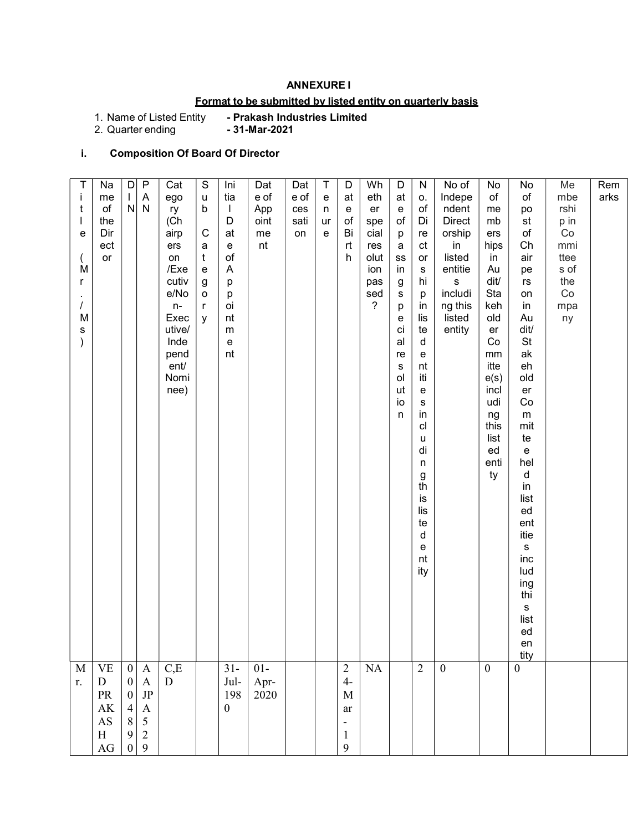## ANNEXURE I

# Format to be submitted by listed entity on quarterly basis

- Prakash Industries Limited<br>- 31-Mar-2021

1. Name of Listed Entity<br>2. Quarter ending

# i. Composition Of Board Of Director

| r.                                                                                                          | Τ<br>Ť<br>t<br>е<br>M<br>r<br>$\prime$<br>M<br>s<br>M                                                                                                                                                                                                                                                                                                           |
|-------------------------------------------------------------------------------------------------------------|-----------------------------------------------------------------------------------------------------------------------------------------------------------------------------------------------------------------------------------------------------------------------------------------------------------------------------------------------------------------|
| ${\bf D}$<br>PR<br>AK<br>$\mathbf{A}\mathbf{S}$<br>$\, {\rm H}$<br>AG                                       | Na<br>me<br>of<br>the<br>Dir<br>ect<br>or<br>$\ensuremath{\mathsf{VE}}$                                                                                                                                                                                                                                                                                         |
| $\boldsymbol{0}$<br>$\boldsymbol{0}$<br>$\overline{4}$<br>$\,$ $\,$<br>$\boldsymbol{9}$<br>$\boldsymbol{0}$ | $\vert D \vert$<br>$\mathbf{L}$<br>$\mathsf{N}$<br>$\boldsymbol{0}$                                                                                                                                                                                                                                                                                             |
| $\begin{array}{c} \mathbf{A} \\ \mathbf{JP} \end{array}$<br>$\boldsymbol{\rm{A}}$<br>$\frac{5}{2}$<br>9     | $\overline{P}$<br>$\boldsymbol{\mathsf{A}}$<br>${\sf N}$<br>$\mathbf{A}$                                                                                                                                                                                                                                                                                        |
| D                                                                                                           | Cat<br>ego<br>ry<br>(Ch<br>airp<br>ers<br>on<br>/Exe<br>cutiv<br>e/No<br>$n-$<br>Exec<br>utive/<br>Inde<br>pend<br>ent/<br>Nomi<br>nee)<br>$_{\rm C,E}$                                                                                                                                                                                                         |
|                                                                                                             | $\mathbb S$<br>$\sf u$<br>b<br>$\mathbf C$<br>a<br>$\mathfrak{t}$<br>$\mathsf{e}% _{t}\left( t\right)$<br>$\boldsymbol{g}$<br>o<br>$\mathsf{r}$<br>y                                                                                                                                                                                                            |
| Jul-<br>198<br>$\boldsymbol{0}$                                                                             | Ini<br>tia<br>$\mathbf{I}$<br>D<br>at<br>e<br>$\circ f$<br>A<br>р<br>р<br>oi<br>nt<br>m<br>e<br>nt<br>$31 -$                                                                                                                                                                                                                                                    |
| Apr-<br>2020                                                                                                | Dat<br>e of<br>App<br>oint<br>me<br>nt<br>$01-$                                                                                                                                                                                                                                                                                                                 |
|                                                                                                             | Dat<br>e of<br>ces<br>sati<br>on                                                                                                                                                                                                                                                                                                                                |
|                                                                                                             | T<br>${\bf e}$<br>n<br>ur<br>e                                                                                                                                                                                                                                                                                                                                  |
| $4-$<br>$\mathbf M$<br>ar<br>$\blacksquare$<br>$\mathbf{1}$<br>9                                            | D<br>at<br>e<br>of<br>Bi<br>rt<br>h<br>$\overline{c}$                                                                                                                                                                                                                                                                                                           |
|                                                                                                             | Wh<br>eth<br>er<br>spe<br>cial<br>res<br>olut<br>ion<br>pas<br>sed<br>?<br>$\rm NA$                                                                                                                                                                                                                                                                             |
|                                                                                                             | $\mathsf D$<br>at<br>e<br>$\circ$ f<br>p<br>a<br>${\rm ss}$<br>in<br>g<br>s<br>р<br>е<br>ci<br>al<br>re<br>s<br>ol<br>ut<br>io<br>n                                                                                                                                                                                                                             |
|                                                                                                             | ${\sf N}$<br>0.<br>of<br>Di<br>re<br>ct<br>or<br>${\bf s}$<br>hi<br>p<br>in<br>lis<br>te<br>d<br>e<br>nt<br>iti<br>e<br>$\mathbb S$<br>in<br>cl<br>u<br>di<br>n<br>g<br>th<br>İS<br>lis<br>te<br>d<br>e<br>nt<br>ity<br>$\overline{2}$                                                                                                                          |
|                                                                                                             | No of<br>Indepe<br>ndent<br><b>Direct</b><br>orship<br>in<br>listed<br>entitie<br>${\bf S}$<br>includi<br>ng this<br>listed<br>entity<br>$\boldsymbol{0}$                                                                                                                                                                                                       |
|                                                                                                             | No<br>of<br>me<br>mb<br>ers<br>hips<br>in<br>Au<br>dit/<br>Sta<br>keh<br>old<br>er<br>Co<br>mm<br>itte<br>e(s)<br>incl<br>udi<br>ng<br>this<br>list<br>ed<br>enti<br>ty<br>$\mathbf{0}$                                                                                                                                                                         |
|                                                                                                             | No<br>of<br>po<br>st<br>$\mathsf{of}$<br>Ch<br>air<br>pe<br>$\mathsf{r}\mathsf{s}$<br>on<br>in<br>Au<br>dit/<br>St<br>ak<br>eh<br>old<br>er<br>$\mathop{\rm Co}\nolimits$<br>${\sf m}$<br>mit<br>te<br>e<br>hel<br>d<br>in<br>list<br>ed<br>ent<br>itie<br>${\sf s}$<br>inc<br>lud<br>ing<br>thi<br>$\mathbf S$<br>list<br>ed<br>en<br>tity<br>$\boldsymbol{0}$ |
|                                                                                                             | Me<br>mbe<br>rshi<br>p in<br>$\rm Co$<br>mmi<br>ttee<br>s of<br>the<br>Co<br>mpa<br>ny                                                                                                                                                                                                                                                                          |
|                                                                                                             | Rem<br>arks                                                                                                                                                                                                                                                                                                                                                     |
|                                                                                                             |                                                                                                                                                                                                                                                                                                                                                                 |
|                                                                                                             |                                                                                                                                                                                                                                                                                                                                                                 |
|                                                                                                             |                                                                                                                                                                                                                                                                                                                                                                 |
|                                                                                                             |                                                                                                                                                                                                                                                                                                                                                                 |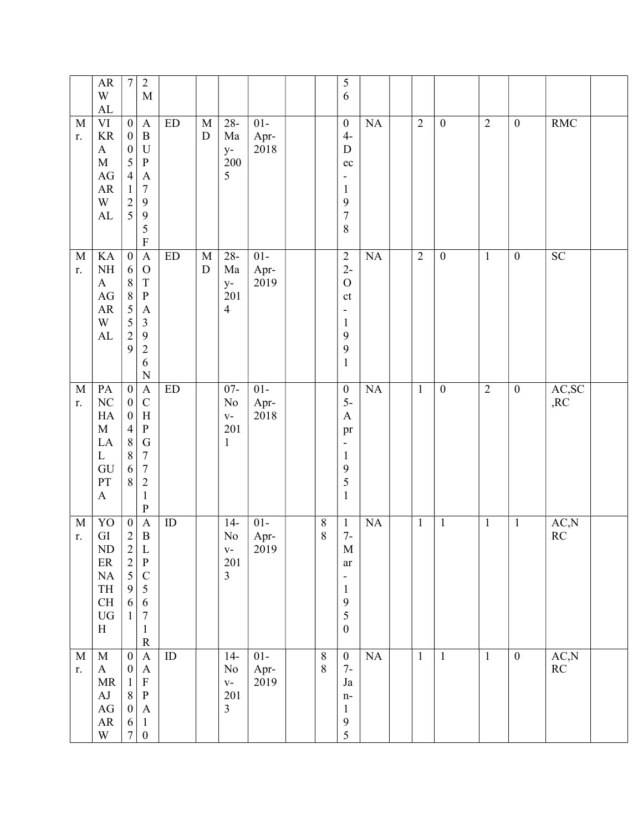|                   | ${\sf AR}$<br>W<br>${\rm AL}$                                                                                   | $\boldsymbol{7}$                                                                                                                  | $\sqrt{2}$<br>$\mathbf M$                                                                                                                                              |                            |                          |                                                     |                        |                    | 5<br>6                                                                                                                            |           |                |                  |                |                  |                                 |  |
|-------------------|-----------------------------------------------------------------------------------------------------------------|-----------------------------------------------------------------------------------------------------------------------------------|------------------------------------------------------------------------------------------------------------------------------------------------------------------------|----------------------------|--------------------------|-----------------------------------------------------|------------------------|--------------------|-----------------------------------------------------------------------------------------------------------------------------------|-----------|----------------|------------------|----------------|------------------|---------------------------------|--|
| M<br>r.           | $\rm{VI}$<br>$\rm KR$<br>$\mathbf{A}$<br>$\mathbf M$<br>$\rm{AG}$<br>${\sf AR}$<br>W<br>AL                      | $\boldsymbol{0}$<br>$\boldsymbol{0}$<br>$\boldsymbol{0}$<br>5<br>$\overline{4}$<br>$\,1$<br>$\begin{array}{c} 2 \\ 5 \end{array}$ | $\mathbf{A}$<br>$\, {\bf B}$<br>$\mathbf U$<br>$\, {\bf P}$<br>$\boldsymbol{\rm{A}}$<br>$\sqrt{ }$<br>$\mathbf{9}$<br>$\overline{9}$<br>5<br>$\mathbf F$               | $\mathop{\rm ED}\nolimits$ | $\mathbf M$<br>${\rm D}$ | $28 -$<br>Ma<br>$y-$<br>200<br>5                    | $01-$<br>Apr-<br>2018  |                    | $\boldsymbol{0}$<br>$4-$<br>${\bf D}$<br>$\rm ec$<br>-<br>$\mathbf{1}$<br>9<br>$\sqrt{ }$<br>$\,$ $\,$                            | NA        | $\overline{2}$ | $\boldsymbol{0}$ | $\overline{2}$ | $\boldsymbol{0}$ | <b>RMC</b>                      |  |
| $\mathbf M$<br>r. | KA<br>$\rm NH$<br>$\mathbf{A}$<br>$\mathbf{A}\mathbf{G}$<br>${\sf AR}$<br>W<br>${\rm AL}$                       | $\overline{0}$<br>$\sqrt{6}$<br>$\,8\,$<br>8<br>5<br>$\frac{5}{2}$<br>9                                                           | $\overline{A}$<br>$\mathcal{O}$<br>$\mathbf T$<br>$\, {\bf P}$<br>$\boldsymbol{\rm{A}}$<br>$\mathfrak{Z}$<br>$\overline{9}$<br>$\sqrt{2}$<br>6<br>$\mathbf N$          | ED                         | $\mathbf M$<br>${\rm D}$ | $28 -$<br>Ma<br>$y-$<br>201<br>$\overline{4}$       | $01-$<br>Apr-<br>2019  |                    | $\sqrt{2}$<br>$2-$<br>$\mathcal O$<br>$\mathsf{ct}$<br>$\overline{\phantom{0}}$<br>$\mathbf{1}$<br>9<br>9<br>$\mathbf{1}$         | NA        | $\overline{2}$ | $\boldsymbol{0}$ | $\overline{1}$ | $\boldsymbol{0}$ | SC                              |  |
| $\mathbf M$<br>r. | PA<br>$\rm NC$<br>HA<br>$\mathbf M$<br>LA<br>$\mathbf{L}$<br>GU<br>PT<br>$\boldsymbol{\mathsf{A}}$              | $\boldsymbol{0}$<br>$\boldsymbol{0}$<br>$\boldsymbol{0}$<br>$\overline{4}$<br>$\,8\,$<br>$\,$ $\,$<br>6<br>8                      | $\mathbf{A}$<br>$\mathsf{C}$<br>$\boldsymbol{\mathrm{H}}$<br>${\bf P}$<br>${\bf G}$<br>$\boldsymbol{7}$<br>$\boldsymbol{7}$<br>$\sqrt{2}$<br>$\mathbf{1}$<br>${\bf P}$ | $\mathop{\rm ED}\nolimits$ |                          | $07 -$<br>No<br>$\mathbf{V}$ –<br>201<br>1          | $01 -$<br>Apr-<br>2018 |                    | $\boldsymbol{0}$<br>$5-$<br>$\boldsymbol{\mathsf{A}}$<br>pr<br>$\overline{\phantom{a}}$<br>$\mathbf{1}$<br>9<br>5<br>$\mathbf{1}$ | <b>NA</b> | $\mathbf{1}$   | $\boldsymbol{0}$ | $\overline{2}$ | $\boldsymbol{0}$ | AC,SC<br>,RC                    |  |
| $\mathbf M$<br>r. | YO<br>${\rm GI}$<br>ND<br>$\rm ER$<br>$\rm NA$<br>TH<br>$\operatorname{CH}$<br>${\rm U}{\rm G}$<br>$\, {\rm H}$ | $\boldsymbol{0}$<br>$\sqrt{2}$<br>$\begin{array}{c} 2 \\ 2 \\ 5 \end{array}$<br>$\mathbf{9}$<br>6<br>$\mathbf{1}$                 | $\boldsymbol{\mathsf{A}}$<br>$\, {\bf B}$<br>L<br>$\, {\bf P}$<br>$\mathsf C$<br>$\sqrt{5}$<br>$\sqrt{6}$<br>$\boldsymbol{7}$<br>$\mathbf{1}$<br>${\bf R}$             | ID                         |                          | $14-$<br>$\rm No$<br>$V -$<br>201<br>$\overline{3}$ | $01 -$<br>Apr-<br>2019 | $8\,$<br>$\,8\,$   | $\mathbf{1}$<br>$7-$<br>M<br>ar<br>$\overline{\phantom{a}}$<br>$\mathbf{1}$<br>$\boldsymbol{9}$<br>5<br>$\boldsymbol{0}$          | NA        | $\mathbf{1}$   | $\mathbf{1}$     | $\mathbf{1}$   | $\mathbf{1}$     | AC, N<br>RC                     |  |
| $\mathbf M$<br>r. | $\mathbf M$<br>$\bf{A}$<br>MR<br>AJ<br>$\rm{AG}$<br>${\sf AR}$<br>W                                             | $\boldsymbol{0}$<br>$\boldsymbol{0}$<br>$\mathbf{1}$<br>$\,8\,$<br>$\boldsymbol{0}$<br>6<br>$\boldsymbol{7}$                      | $\boldsymbol{\mathsf{A}}$<br>$\mathbf{A}$<br>$\mathbf F$<br>$\, {\bf P}$<br>$\mathbf{A}$<br>$\mathbf{1}$<br>$\boldsymbol{0}$                                           | $\rm ID$                   |                          | $14-$<br>No<br>$V -$<br>201<br>$\overline{3}$       | $01-$<br>Apr-<br>2019  | $\,8\,$<br>$\,8\,$ | $\boldsymbol{0}$<br>$7-$<br>Ja<br>$n-$<br>$\mathbf{1}$<br>$\boldsymbol{9}$<br>5                                                   | NA        | $\mathbf{1}$   | $\mathbf{1}$     | $\mathbf{1}$   | $\overline{0}$   | AC,N<br>$\mathbb{R}\mathcal{C}$ |  |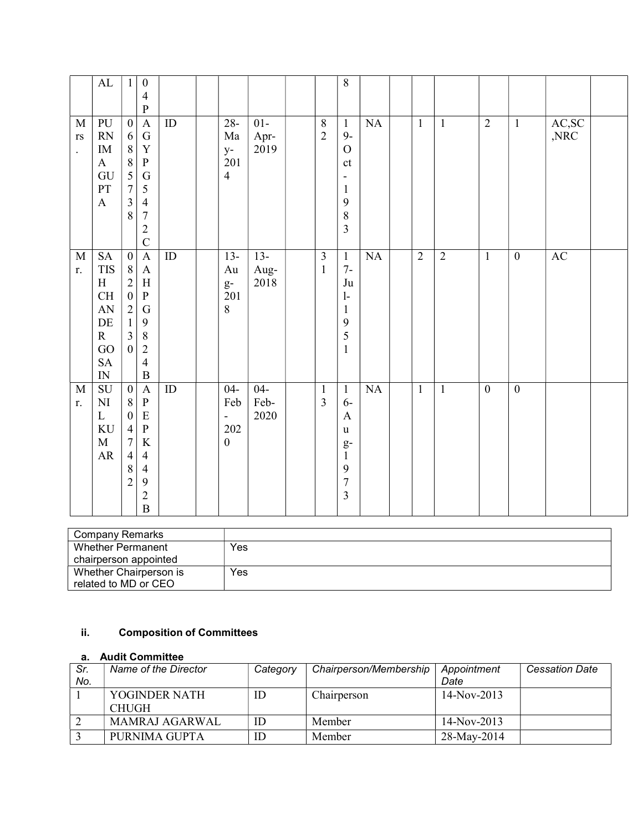|                                                               | $\mathbf{AL}$                                                                                                           | $\mathbf{1}$                                                                                                                                 | $\boldsymbol{0}$<br>$\overline{4}$<br>$\mathbf{P}$                                                                                                           |                 |                                                                          |                        |                                         | 8                                                                                                                             |    |                |                |                  |                  |               |  |
|---------------------------------------------------------------|-------------------------------------------------------------------------------------------------------------------------|----------------------------------------------------------------------------------------------------------------------------------------------|--------------------------------------------------------------------------------------------------------------------------------------------------------------|-----------------|--------------------------------------------------------------------------|------------------------|-----------------------------------------|-------------------------------------------------------------------------------------------------------------------------------|----|----------------|----------------|------------------|------------------|---------------|--|
| $\mathbf M$<br>$\mathbf{r}\mathbf{s}$<br>$\ddot{\phantom{0}}$ | PU<br>RN<br>$\rm IM$<br>$\mathbf{A}$<br>GU<br>PT<br>$\boldsymbol{\mathrm{A}}$                                           | $\boldsymbol{0}$<br>6<br>$\, 8$<br>$\,8\,$<br>$\overline{5}$<br>$\overline{7}$<br>$\overline{\mathbf{3}}$<br>8                               | $\mathbf{A}$<br>${\bf G}$<br>$\mathbf Y$<br>${\bf P}$<br>${\bf G}$<br>$\mathfrak{S}$<br>$\overline{4}$<br>$\overline{7}$<br>$\overline{2}$<br>$\overline{C}$ | $\rm ID$        | $28 -$<br>Ma<br>$y-$<br>201<br>$\overline{4}$                            | $01-$<br>Apr-<br>2019  | $8\,$<br>$\overline{2}$                 | $\mathbf{1}$<br>$9-$<br>$\overline{O}$<br>ct<br>$\overline{\phantom{0}}$<br>$\mathbf{1}$<br>9<br>8<br>$\overline{\mathbf{3}}$ | NA | $\mathbf{1}$   | $\mathbf{1}$   | $\overline{2}$   | $\mathbf{1}$     | AC,SC<br>,NRC |  |
| $\mathbf M$<br>r.                                             | $\operatorname{SA}$<br><b>TIS</b><br>H<br>CH<br>${\rm AN}$<br>$\rm DE$<br>$\mathbf R$<br>GO<br>${\rm SA}$<br>${\rm IN}$ | $\boldsymbol{0}$<br>$8\phantom{.}$<br>$\overline{2}$<br>$\boldsymbol{0}$<br>$\overline{2}$<br>$\mathbf{1}$<br>$\overline{3}$<br>$\mathbf{0}$ | $\mathbf A$<br>$\mathbf{A}$<br>$\, {\rm H}$<br>${\bf P}$<br>${\bf G}$<br>9<br>$\,8\,$<br>$\overline{2}$<br>$\overline{4}$<br>$\, {\bf B}$                    | $\overline{ID}$ | $13-$<br>Au<br>$g-$<br>201<br>$8\,$                                      | $13-$<br>Aug-<br>2018  | $\overline{\mathbf{3}}$<br>$\mathbf{1}$ | $\mathbf{1}$<br>$7-$<br>Ju<br>$\mathbf{1}$<br>$\mathbf{1}$<br>9<br>5<br>$\mathbf{1}$                                          | NA | $\overline{2}$ | $\overline{2}$ | $\mathbf{1}$     | $\overline{0}$   | AC            |  |
| M<br>r.                                                       | SU<br>$\mathbf{N}\mathbf{I}$<br>$\mathbf L$<br>$\rm KU$<br>$\mathbf M$<br>${\sf AR}$                                    | $\boldsymbol{0}$<br>$\,8\,$<br>$\boldsymbol{0}$<br>$\overline{4}$<br>$\overline{7}$<br>$\overline{4}$<br>$\,$ 8 $\,$<br>$\overline{2}$       | $\mathbf{A}$<br>$\, {\bf P}$<br>${\bf E}$<br>$\overline{\mathbf{P}}$<br>$\rm K$<br>$\overline{4}$<br>$\overline{4}$<br>9<br>$\overline{2}$<br>$\overline{B}$ | ID              | $04 -$<br>Feb<br>$\overline{\phantom{a}}$<br>$202\,$<br>$\boldsymbol{0}$ | $04 -$<br>Feb-<br>2020 | $\mathbf{1}$<br>3                       | $\mathbf{1}$<br>$6-$<br>$\mathbf{A}$<br>u<br>$g-$<br>$\mathbf{1}$<br>9<br>$\overline{7}$<br>$\overline{\mathbf{3}}$           | NA | $\mathbf{1}$   | $\mathbf{1}$   | $\boldsymbol{0}$ | $\boldsymbol{0}$ |               |  |

| Company Remarks        |     |
|------------------------|-----|
| Whether Permanent      | Yes |
| chairperson appointed  |     |
| Whether Chairperson is | Yes |
| related to MD or CEO   |     |

# ii. Composition of Committees

# a. Audit Committee

| Sr.<br>No. | Name of the Director          | Category | Chairperson/Membership | Appointment<br>Date | <b>Cessation Date</b> |
|------------|-------------------------------|----------|------------------------|---------------------|-----------------------|
|            | YOGINDER NATH<br><b>CHUGH</b> | ID       | Chairperson            | $14-Nov-2013$       |                       |
|            | <b>MAMRAJ AGARWAL</b>         | ID       | Member                 | $14-Nov-2013$       |                       |
|            | PURNIMA GUPTA                 | ID       | Member                 | 28-May-2014         |                       |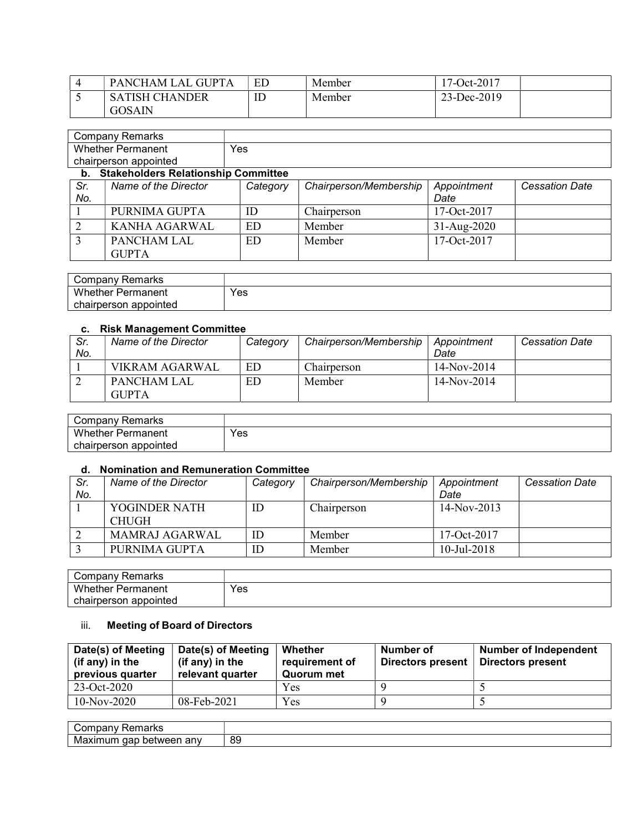| <b>GUPT</b><br>PANCHAM L.<br>.AL | ED                 | Member | $.7 - Oct-2017$ |
|----------------------------------|--------------------|--------|-----------------|
| <b>SATISH CHANDER</b>            | $\mathbf{m}$<br>ΙD | Member | 23-Dec-2019     |
| <b>GOSAIN</b>                    |                    |        |                 |

|                | <b>Company Remarks</b>                 |          |                        |             |                       |
|----------------|----------------------------------------|----------|------------------------|-------------|-----------------------|
|                | <b>Whether Permanent</b>               | Yes      |                        |             |                       |
|                | chairperson appointed                  |          |                        |             |                       |
|                | b. Stakeholders Relationship Committee |          |                        |             |                       |
| Sr.            | Name of the Director                   | Category | Chairperson/Membership | Appointment | <b>Cessation Date</b> |
| No.            |                                        |          |                        | Date        |                       |
|                | PURNIMA GUPTA                          | ID       | Chairperson            | 17-Oct-2017 |                       |
| $\overline{2}$ | <b>KANHA AGARWAL</b>                   | ED       | Member                 | 31-Aug-2020 |                       |
| 3              | PANCHAM LAL                            | ED       | Member                 | 17-Oct-2017 |                       |
|                | <b>GUPTA</b>                           |          |                        |             |                       |

| Company Remarks           |     |
|---------------------------|-----|
| Whether<br>-<br>Permanent | Yes |
| appointed<br>chairperson  |     |

## c. Risk Management Committee

| Sr.<br>No. | Name of the Director | Category | Chairperson/Membership | Appointment<br>Date | <b>Cessation Date</b> |
|------------|----------------------|----------|------------------------|---------------------|-----------------------|
|            | VIKRAM AGARWAL       | ED.      | Chairperson            | $14-Nov-2014$       |                       |
|            | <b>PANCHAM LAL</b>   | ED       | Member                 | $14-Nov-2014$       |                       |
|            | <b>GUPTA</b>         |          |                        |                     |                       |

| Company Remarks       |     |
|-----------------------|-----|
| Whether<br>Permanent  | Yes |
| chairperson appointed |     |

# d. Nomination and Remuneration Committee

| Sr.<br>No. | Name of the Director          | Category | Chairperson/Membership | Appointment<br>Date | <b>Cessation Date</b> |
|------------|-------------------------------|----------|------------------------|---------------------|-----------------------|
|            | YOGINDER NATH<br><b>CHUGH</b> | ID       | Chairperson            | $14-Nov-2013$       |                       |
|            | <b>MAMRAJ AGARWAL</b>         | ID       | Member                 | $17-Oct-2017$       |                       |
|            | PURNIMA GUPTA                 | ID       | Member                 | $10$ -Jul-2018      |                       |

| ' ompanyٽ<br>Remarks          |     |
|-------------------------------|-----|
| <b>Whether</b> F<br>Permanent | Yes |
| chairperson appointed         |     |

# iii. Meeting of Board of Directors

| Date(s) of Meeting<br>(if any) in the<br>previous quarter | Date(s) of Meeting<br>(if any) in the<br>relevant quarter | Whether<br>requirement of<br>Quorum met | Number of<br>Directors present | <b>Number of Independent</b><br>Directors present |
|-----------------------------------------------------------|-----------------------------------------------------------|-----------------------------------------|--------------------------------|---------------------------------------------------|
| 23-Oct-2020                                               |                                                           | Yes                                     |                                |                                                   |
| $10-Nov-2020$                                             | 08-Feb-2021                                               | Yes                                     |                                |                                                   |

| `ompar∨ب<br>Remarks<br>ndani        |    |
|-------------------------------------|----|
| aap<br>mum.<br>petween any<br>Maxir | 89 |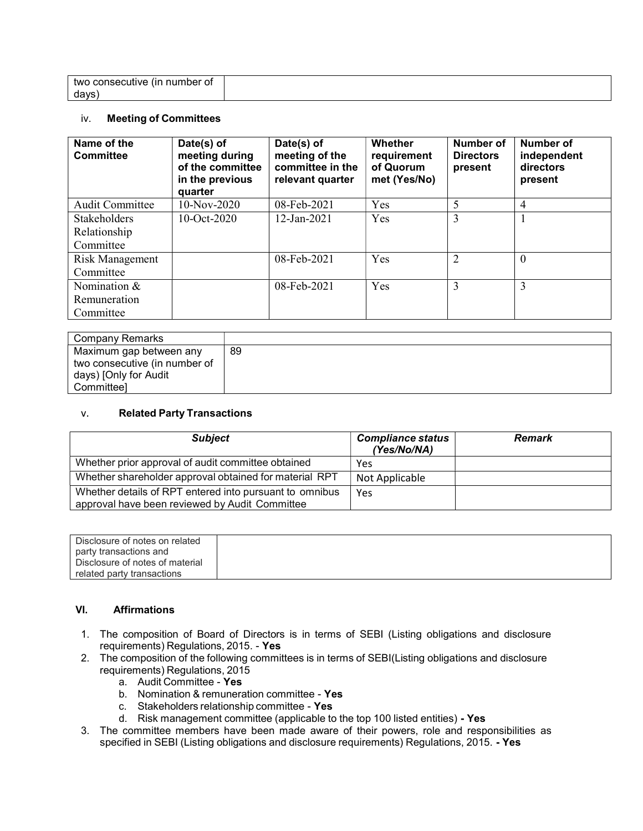| number of<br>two<br>consecutive<br>. Lin |  |
|------------------------------------------|--|
|                                          |  |
| days                                     |  |

#### iv. Meeting of Committees

| Name of the<br><b>Committee</b> | Date(s) of<br>meeting during<br>of the committee<br>in the previous<br>quarter | Date(s) of<br>meeting of the<br>committee in the<br>relevant quarter | Whether<br>requirement<br>of Quorum<br>met (Yes/No) | <b>Number of</b><br><b>Directors</b><br>present | Number of<br>independent<br>directors<br>present |
|---------------------------------|--------------------------------------------------------------------------------|----------------------------------------------------------------------|-----------------------------------------------------|-------------------------------------------------|--------------------------------------------------|
| <b>Audit Committee</b>          | 10-Nov-2020                                                                    | 08-Feb-2021                                                          | Yes                                                 | 5                                               | 4                                                |
| <b>Stakeholders</b>             | $10-Oct-2020$                                                                  | $12$ -Jan-2021                                                       | Yes                                                 | 3                                               |                                                  |
| Relationship                    |                                                                                |                                                                      |                                                     |                                                 |                                                  |
| Committee                       |                                                                                |                                                                      |                                                     |                                                 |                                                  |
| Risk Management                 |                                                                                | 08-Feb-2021                                                          | Yes                                                 | $\overline{2}$                                  | $\Omega$                                         |
| Committee                       |                                                                                |                                                                      |                                                     |                                                 |                                                  |
| Nomination &                    |                                                                                | 08-Feb-2021                                                          | Yes                                                 | 3                                               | 3                                                |
| Remuneration                    |                                                                                |                                                                      |                                                     |                                                 |                                                  |
| Committee                       |                                                                                |                                                                      |                                                     |                                                 |                                                  |

| Company Remarks               |    |
|-------------------------------|----|
| Maximum gap between any       | 89 |
| two consecutive (in number of |    |
| days) [Only for Audit         |    |
| Committeel                    |    |

#### v. Related Party Transactions

| <b>Subject</b>                                                                                            | <b>Compliance status</b><br>(Yes/No/NA) | <b>Remark</b> |
|-----------------------------------------------------------------------------------------------------------|-----------------------------------------|---------------|
| Whether prior approval of audit committee obtained                                                        | Yes                                     |               |
| Whether shareholder approval obtained for material RPT                                                    | Not Applicable                          |               |
| Whether details of RPT entered into pursuant to omnibus<br>approval have been reviewed by Audit Committee | Yes                                     |               |

| Disclosure of notes on related  |  |
|---------------------------------|--|
| party transactions and          |  |
| Disclosure of notes of material |  |
| related party transactions      |  |

## VI. Affirmations

- 1. The composition of Board of Directors is in terms of SEBI (Listing obligations and disclosure requirements) Regulations, 2015. - Yes
- 2. The composition of the following committees is in terms of SEBI(Listing obligations and disclosure requirements) Regulations, 2015
	- a. Audit Committee Yes
	- b. Nomination & remuneration committee Yes
	- c. Stakeholders relationship committee Yes
	- d. Risk management committee (applicable to the top 100 listed entities) Yes
- 3. The committee members have been made aware of their powers, role and responsibilities as specified in SEBI (Listing obligations and disclosure requirements) Regulations, 2015. - Yes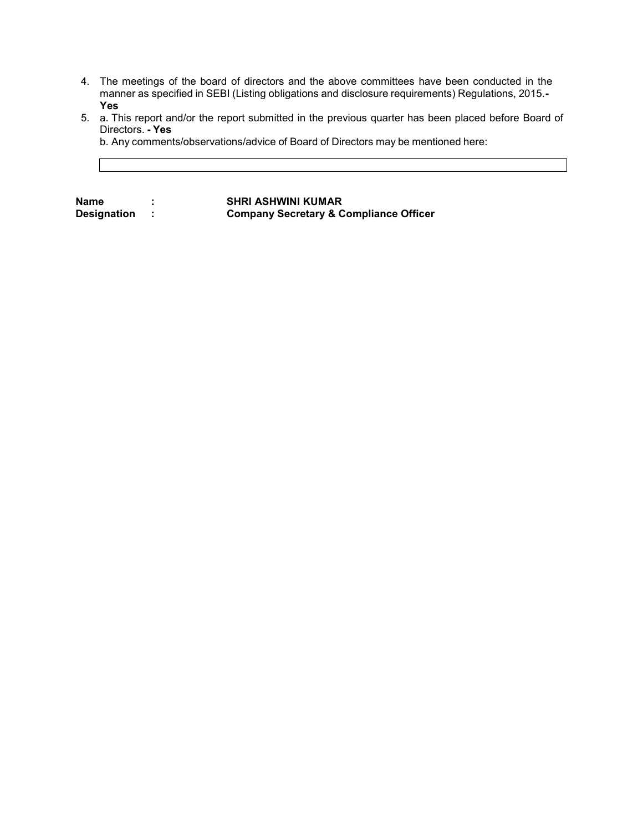- 4. The meetings of the board of directors and the above committees have been conducted in the manner as specified in SEBI (Listing obligations and disclosure requirements) Regulations, 2015.- Yes
- 5. a. This report and/or the report submitted in the previous quarter has been placed before Board of Directors. - Yes

b. Any comments/observations/advice of Board of Directors may be mentioned here:

Name : SHRI ASHWINI KUMAR<br>Designation : Company Secretary & C Company Secretary & Compliance Officer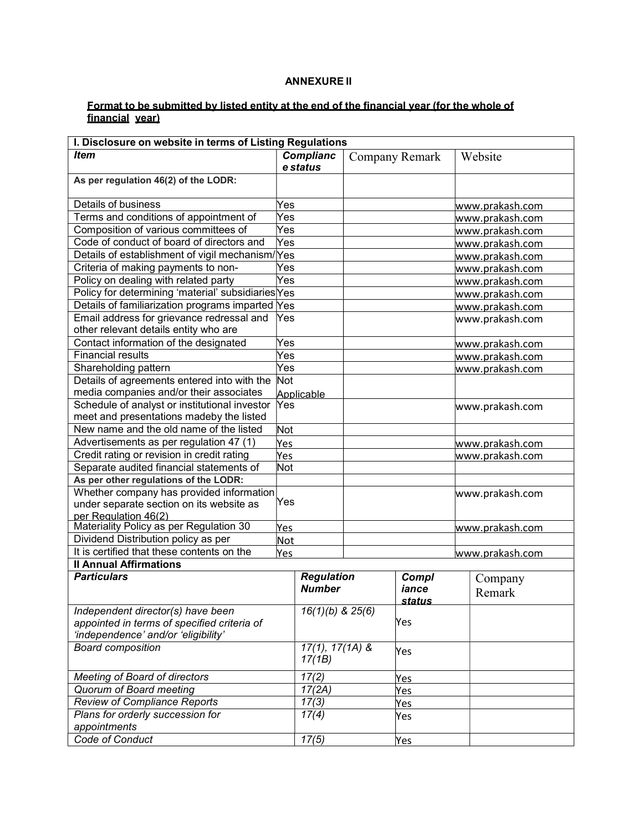## ANNEXURE II

#### Format to be submitted by listed entity at the end of the financial year (for the whole of financial year)

| <b>Complianc</b><br><b>Item</b><br>Website<br>Company Remark<br>e status |  |
|--------------------------------------------------------------------------|--|
|                                                                          |  |
|                                                                          |  |
| As per regulation 46(2) of the LODR:                                     |  |
| Details of business<br>Yes<br>www.prakash.com                            |  |
| Terms and conditions of appointment of<br>Yes<br>www.prakash.com         |  |
| Composition of various committees of<br>Yes<br>www.prakash.com           |  |
| Code of conduct of board of directors and<br>Yes<br>www.prakash.com      |  |
| Details of establishment of vigil mechanism/Yes<br>www.prakash.com       |  |
| Criteria of making payments to non-<br>Yes<br>www.prakash.com            |  |
| Policy on dealing with related party<br>Yes<br>www.prakash.com           |  |
| Policy for determining 'material' subsidiaries Yes<br>www.prakash.com    |  |
| Details of familiarization programs imparted Yes<br>www.prakash.com      |  |
| Email address for grievance redressal and<br>Yes<br>www.prakash.com      |  |
| other relevant details entity who are                                    |  |
| Contact information of the designated<br>Yes<br>www.prakash.com          |  |
| <b>Financial results</b><br>Yes<br>www.prakash.com                       |  |
| Yes<br>Shareholding pattern<br>www.prakash.com                           |  |
| Details of agreements entered into with the<br>Not                       |  |
| media companies and/or their associates<br>Applicable                    |  |
| Schedule of analyst or institutional investor<br>Yes<br>www.prakash.com  |  |
| meet and presentations madeby the listed                                 |  |
| New name and the old name of the listed<br>Not                           |  |
| Advertisements as per regulation 47 (1)<br>Yes<br>www.prakash.com        |  |
| Credit rating or revision in credit rating<br>Yes<br>www.prakash.com     |  |
| Separate audited financial statements of<br>Not                          |  |
| As per other regulations of the LODR:                                    |  |
| Whether company has provided information<br>www.prakash.com<br>Yes       |  |
| under separate section on its website as<br>per Regulation 46(2)         |  |
| Materiality Policy as per Regulation 30<br>Yes<br>www.prakash.com        |  |
| Dividend Distribution policy as per<br><b>Not</b>                        |  |
| It is certified that these contents on the<br>Yes<br>www.prakash.com     |  |
| <b>Il Annual Affirmations</b>                                            |  |
| <b>Particulars</b><br><b>Regulation</b><br>Compl<br>Company              |  |
| <b>Number</b><br>iance<br>Remark                                         |  |
| <u>status</u>                                                            |  |
| Independent director(s) have been<br>$16(1)(b)$ & $25(6)$                |  |
| appointed in terms of specified criteria of<br>Yes                       |  |
| 'independence' and/or 'eligibility'                                      |  |
| <b>Board composition</b><br>$17(1), 17(1A)$ &<br>Yes<br>17(1B)           |  |
| 17(2)<br><b>Meeting of Board of directors</b><br>Yes                     |  |
| 17(2A)<br>Quorum of Board meeting<br>Yes                                 |  |
| <b>Review of Compliance Reports</b><br>17(3)<br>Yes                      |  |
| 17(4)<br>Plans for orderly succession for<br>Yes                         |  |
| appointments                                                             |  |
| Code of Conduct<br>17(5)<br><u>Yes</u>                                   |  |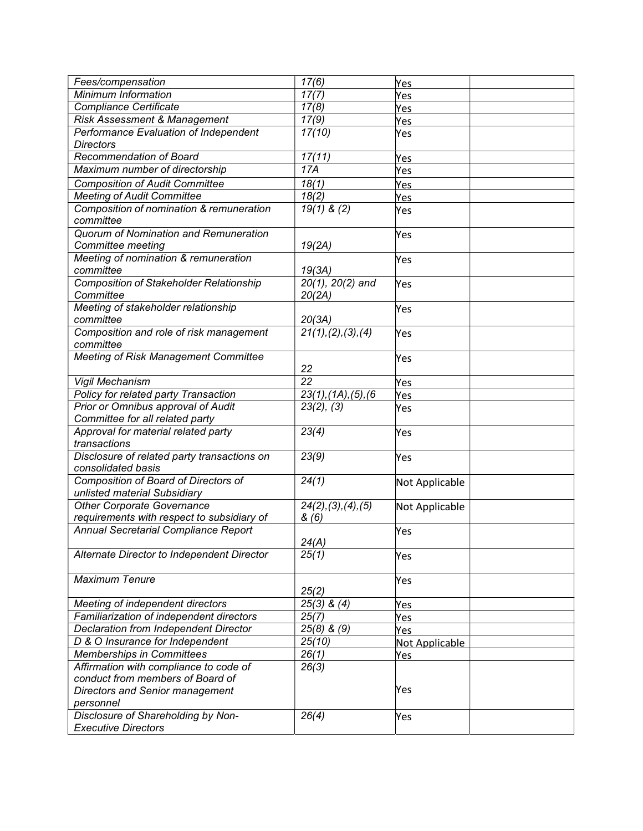| Fees/compensation                              | $\frac{1}{7(6)}$                 | Yes                   |  |
|------------------------------------------------|----------------------------------|-----------------------|--|
| Minimum Information                            | 17(7)                            | Yes                   |  |
| <b>Compliance Certificate</b>                  | 17(8)                            | Yes                   |  |
| Risk Assessment & Management                   | 17(9)                            | Yes                   |  |
| Performance Evaluation of Independent          | 17(10)                           | Yes                   |  |
| <b>Directors</b>                               |                                  |                       |  |
| Recommendation of Board                        | 17(11)                           | Yes                   |  |
| Maximum number of directorship                 | 17A                              | Yes                   |  |
| <b>Composition of Audit Committee</b>          | 18(1)                            | Yes                   |  |
| <b>Meeting of Audit Committee</b>              | 18(2)                            | Yes                   |  |
| Composition of nomination & remuneration       | $19(1)$ & (2)                    | Yes                   |  |
| committee                                      |                                  |                       |  |
| Quorum of Nomination and Remuneration          |                                  | Yes                   |  |
| Committee meeting                              | 19(2A)                           |                       |  |
| Meeting of nomination & remuneration           |                                  | Yes                   |  |
| committee                                      | 19(3A)                           |                       |  |
| <b>Composition of Stakeholder Relationship</b> | $20(1)$ , $20(2)$ and            | Yes                   |  |
| Committee                                      | 20(2A)                           |                       |  |
| Meeting of stakeholder relationship            |                                  | Yes                   |  |
| committee                                      | 20(3A)                           |                       |  |
| Composition and role of risk management        | 21(1), (2), (3), (4)             | Yes                   |  |
| committee                                      |                                  |                       |  |
| <b>Meeting of Risk Management Committee</b>    |                                  | Yes                   |  |
|                                                | 22                               |                       |  |
| Vigil Mechanism                                | $\overline{22}$                  | Yes                   |  |
| Policy for related party Transaction           | $23(1)$ , $(1A)$ , $(5)$ , $(6)$ | Yes                   |  |
| Prior or Omnibus approval of Audit             | 23(2), (3)                       | Yes                   |  |
| Committee for all related party                |                                  |                       |  |
| Approval for material related party            | 23(4)                            | Yes                   |  |
| transactions                                   |                                  |                       |  |
| Disclosure of related party transactions on    | 23(9)                            | Yes                   |  |
| consolidated basis                             |                                  |                       |  |
| Composition of Board of Directors of           | 24(1)                            | Not Applicable        |  |
| unlisted material Subsidiary                   |                                  |                       |  |
| <b>Other Corporate Governance</b>              | 24(2), (3), (4), (5)             | Not Applicable        |  |
| requirements with respect to subsidiary of     | &(6)                             |                       |  |
| Annual Secretarial Compliance Report           |                                  | Yes                   |  |
|                                                | 24(A)                            |                       |  |
| Alternate Director to Independent Director     | 25(1)                            | Yes                   |  |
| <b>Maximum Tenure</b>                          |                                  |                       |  |
|                                                | 25(2)                            | Yes                   |  |
| Meeting of independent directors               | $\sqrt{25(3)}$ & (4)             | Yes                   |  |
| Familiarization of independent directors       | 25(7)                            | Yes                   |  |
| Declaration from Independent Director          | $25(8)$ & $(9)$                  | Yes                   |  |
| D & O Insurance for Independent                | 25(10)                           |                       |  |
| Memberships in Committees                      | 26(1)                            | Not Applicable<br>Yes |  |
| Affirmation with compliance to code of         | 26(3)                            |                       |  |
| conduct from members of Board of               |                                  |                       |  |
| Directors and Senior management                |                                  | Yes                   |  |
| personnel                                      |                                  |                       |  |
| Disclosure of Shareholding by Non-             | 26(4)                            | Yes                   |  |
| <b>Executive Directors</b>                     |                                  |                       |  |
|                                                |                                  |                       |  |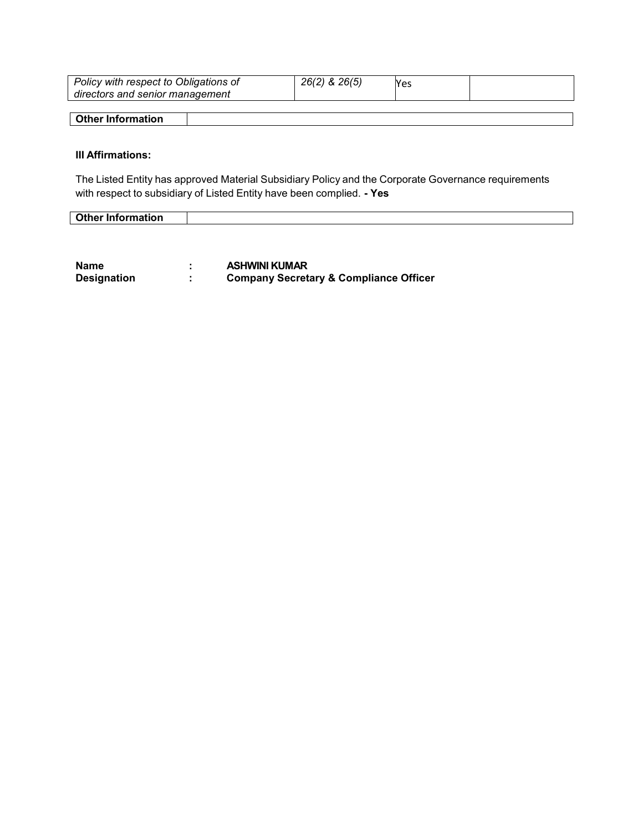| Policy with respect to Obligations of<br>directors and senior management | 26(2) & 26(5) | Yes |  |
|--------------------------------------------------------------------------|---------------|-----|--|
| Other Information                                                        |               |     |  |
|                                                                          |               |     |  |

# III Affirmations:

The Listed Entity has approved Material Subsidiary Policy and the Corporate Governance requirements with respect to subsidiary of Listed Entity have been complied. - Yes

| <b>Other Information</b> |  |
|--------------------------|--|

| Name               | <b>ASHWINI KUMAR</b>                              |
|--------------------|---------------------------------------------------|
| <b>Designation</b> | <b>Company Secretary &amp; Compliance Officer</b> |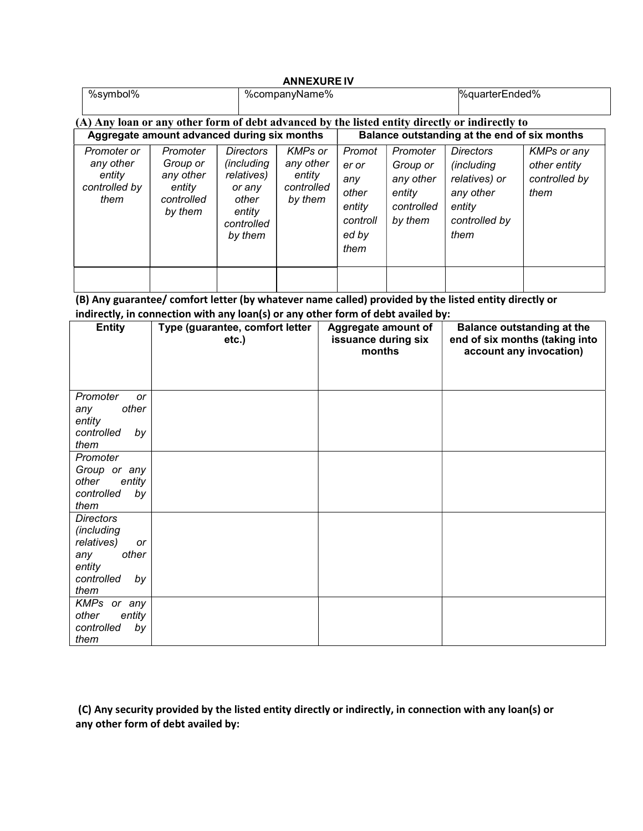| <b>ANNEXURE IV</b>                                                                             |                                                                      |                                                                                                           |                                                         |                                                                        |                                                                      |                                                                                                         |                                                             |
|------------------------------------------------------------------------------------------------|----------------------------------------------------------------------|-----------------------------------------------------------------------------------------------------------|---------------------------------------------------------|------------------------------------------------------------------------|----------------------------------------------------------------------|---------------------------------------------------------------------------------------------------------|-------------------------------------------------------------|
| %symbol%                                                                                       |                                                                      | %companyName%                                                                                             |                                                         |                                                                        |                                                                      | %quarterEnded%                                                                                          |                                                             |
| (A) Any loan or any other form of debt advanced by the listed entity directly or indirectly to |                                                                      |                                                                                                           |                                                         |                                                                        |                                                                      |                                                                                                         |                                                             |
| Aggregate amount advanced during six months                                                    |                                                                      |                                                                                                           | Balance outstanding at the end of six months            |                                                                        |                                                                      |                                                                                                         |                                                             |
| Promoter or<br>any other<br>entity<br>controlled by<br>them                                    | Promoter<br>Group or<br>any other<br>entity<br>controlled<br>by them | <b>Directors</b><br><i>(including</i><br>relatives)<br>or any<br>other<br>entity<br>controlled<br>by them | KMPs or<br>any other<br>entity<br>controlled<br>by them | Promot<br>er or<br>any<br>other<br>entity<br>controll<br>ed by<br>them | Promoter<br>Group or<br>any other<br>entity<br>controlled<br>by them | <b>Directors</b><br><i>(including)</i><br>relatives) or<br>any other<br>entity<br>controlled by<br>them | <b>KMPs or any</b><br>other entity<br>controlled by<br>them |
|                                                                                                |                                                                      |                                                                                                           |                                                         |                                                                        |                                                                      |                                                                                                         |                                                             |

(B) Any guarantee/ comfort letter (by whatever name called) provided by the listed entity directly or indirectly, in connection with any loan(s) or any other form of debt availed by:

| ,,                                                                                                       | $\ddot{\phantom{1}}$                        |                                                      |                                                                                                |
|----------------------------------------------------------------------------------------------------------|---------------------------------------------|------------------------------------------------------|------------------------------------------------------------------------------------------------|
| <b>Entity</b>                                                                                            | Type (guarantee, comfort letter<br>$etc.$ ) | Aggregate amount of<br>issuance during six<br>months | <b>Balance outstanding at the</b><br>end of six months (taking into<br>account any invocation) |
| Promoter<br>or<br>other<br>any<br>entity<br>controlled<br>by<br>them                                     |                                             |                                                      |                                                                                                |
| Promoter<br>Group or any<br>other<br>entity<br>controlled<br>by<br>them                                  |                                             |                                                      |                                                                                                |
| <b>Directors</b><br>(including<br>relatives)<br>or<br>other<br>any<br>entity<br>controlled<br>by<br>them |                                             |                                                      |                                                                                                |
| KMPs or any<br>other<br>entity<br>controlled<br>by<br>them                                               |                                             |                                                      |                                                                                                |

 (C) Any security provided by the listed entity directly or indirectly, in connection with any loan(s) or any other form of debt availed by: